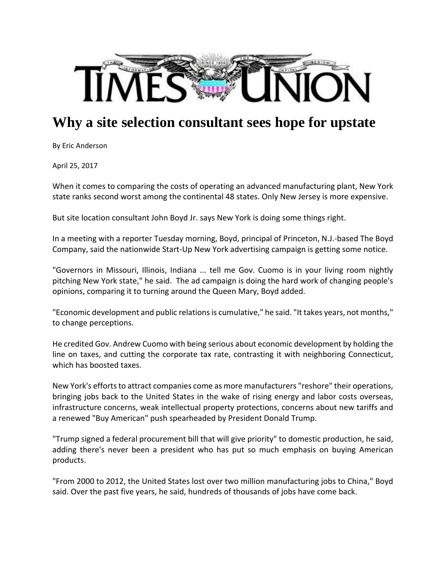

## **Why a site selection consultant sees hope for upstate**

By Eric Anderson

April 25, 2017

When it comes to comparing the costs of operating an advanced manufacturing plant, New York state ranks second worst among the continental 48 states. Only New Jersey is more expensive.

But site location consultant John Boyd Jr. says New York is doing some things right.

In a meeting with a reporter Tuesday morning, Boyd, principal of Princeton, N.J.‐based The Boyd Company, said the nationwide Start‐Up New York advertising campaign is getting some notice.

"Governors in Missouri, Illinois, Indiana ... tell me Gov. Cuomo is in your living room nightly pitching New York state," he said. The ad campaign is doing the hard work of changing people's opinions, comparing it to turning around the Queen Mary, Boyd added.

"Economic development and public relations is cumulative," he said. "It takes years, not months," to change perceptions.

He credited Gov. Andrew Cuomo with being serious about economic development by holding the line on taxes, and cutting the corporate tax rate, contrasting it with neighboring Connecticut, which has boosted taxes.

New York's efforts to attract companies come as more manufacturers "reshore" their operations, bringing jobs back to the United States in the wake of rising energy and labor costs overseas, infrastructure concerns, weak intellectual property protections, concerns about new tariffs and a renewed "Buy American" push spearheaded by President Donald Trump.

"Trump signed a federal procurement bill that will give priority" to domestic production, he said, adding there's never been a president who has put so much emphasis on buying American products.

"From 2000 to 2012, the United States lost over two million manufacturing jobs to China," Boyd said. Over the past five years, he said, hundreds of thousands of jobs have come back.